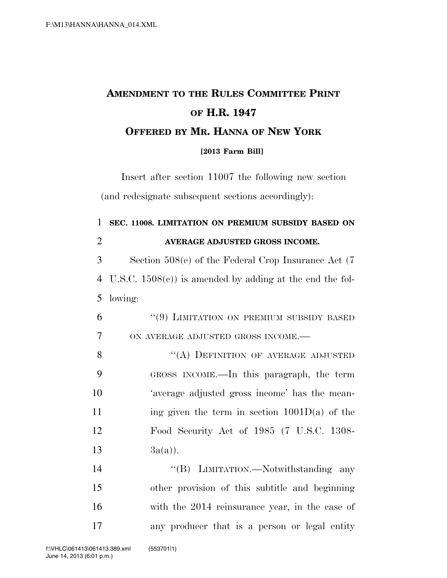## **AMENDMENT TO THE RULES COMMITTEE PRINT OF H.R. 1947 OFFERED BY MR. HANNA OF NEW YORK [2013 Farm Bill]**

Insert after section 11007 the following new section (and redesignate subsequent sections accordingly):

| $\mathbf{1}$   | SEC. 11008. LIMITATION ON PREMIUM SUBSIDY BASED ON        |
|----------------|-----------------------------------------------------------|
| $\overline{2}$ | AVERAGE ADJUSTED GROSS INCOME.                            |
| 3              | Section $508(e)$ of the Federal Crop Insurance Act (7)    |
| 4              | U.S.C. $1508(e)$ is amended by adding at the end the fol- |
| 5              | lowing:                                                   |
| 6              | "(9) LIMITATION ON PREMIUM SUBSIDY BASED                  |
| $\overline{7}$ | ON AVERAGE ADJUSTED GROSS INCOME.-                        |
| 8              | "(A) DEFINITION OF AVERAGE ADJUSTED                       |
| 9              | GROSS INCOME.—In this paragraph, the term                 |
| 10             | 'average adjusted gross income' has the mean-             |
| 11             | ing given the term in section $1001D(a)$ of the           |
| 12             | Food Security Act of 1985 (7 U.S.C. 1308-                 |
| 13             | $3a(a)$ ).                                                |
| 14             | "(B) LIMITATION.—Notwithstanding any                      |
| 15             | other provision of this subtitle and beginning            |
| 16             | with the 2014 reinsurance year, in the case of            |
| 17             | any producer that is a person or legal entity             |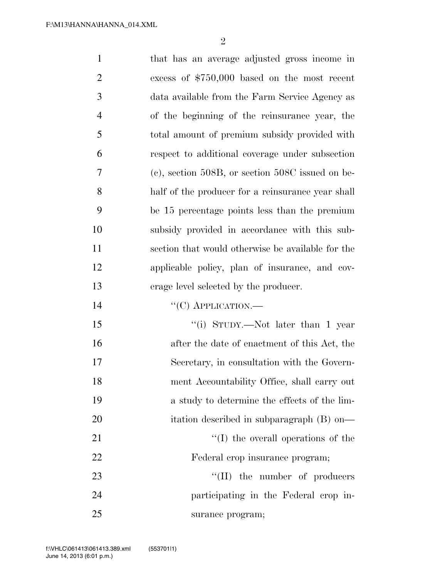| $\mathbf{1}$   | that has an average adjusted gross income in        |
|----------------|-----------------------------------------------------|
| $\overline{2}$ | excess of $$750,000$ based on the most recent       |
| 3              | data available from the Farm Service Agency as      |
| $\overline{4}$ | of the beginning of the reinsurance year, the       |
| 5              | total amount of premium subsidy provided with       |
| 6              | respect to additional coverage under subsection     |
| 7              | $(e)$ , section 508B, or section 508C issued on be- |
| 8              | half of the producer for a reinsurance year shall   |
| 9              | be 15 percentage points less than the premium       |
| 10             | subsidy provided in accordance with this sub-       |
| 11             | section that would otherwise be available for the   |
| 12             | applicable policy, plan of insurance, and cov-      |
| 13             | erage level selected by the producer.               |
| 14             | $\lq\lq$ (C) APPLICATION.—                          |
| 15             | "(i) STUDY.—Not later than 1 year                   |
| 16             | after the date of enactment of this Act, the        |
| 17             | Secretary, in consultation with the Govern-         |
| 18             | ment Accountability Office, shall carry out         |
| 19             | a study to determine the effects of the lim-        |
| 20             | itation described in subparagraph (B) on—           |
| 21             | $\lq\lq$ (I) the overall operations of the          |
| 22             | Federal crop insurance program;                     |
| 23             | $\lq\lq$ (II) the number of producers               |
| 24             | participating in the Federal crop in-               |
| 25             | surance program;                                    |